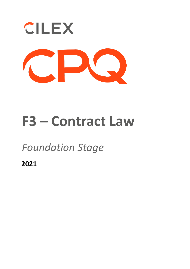

# **F3 – Contract Law**

## *Foundation Stage*

**2021**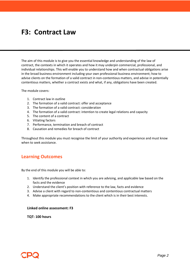### **F3: Contract Law**

The aim of this module is to give you the essential knowledge and understanding of the law of contract, the contexts in which it operates and how it may underpin commercial, professional, and individual relationships. This will enable you to understand how and when contractual obligations arise in the broad business environment including your own professional business environment; how to advise clients on the formation of a valid contract in non-contentious matters, and advise in potentially contentious matters, whether a contract exists and what, if any, obligations have been created.

The module covers:

- 1. Contract law in outline
- 2. The formation of a valid contract: offer and acceptance
- 3. The formation of a valid contract: consideration
- 4. The formation of a valid contract: intention to create legal relations and capacity
- 5. The content of a contract
- 6. Vitiating factors
- 7. Performance, termination and breach of contract
- 8. Causation and remedies for breach of contract

Throughout this module you must recognise the limit of your authority and experience and must know when to seek assistance.

#### **Learning Outcomes**

By the end of this module you will be able to:

- 1. Identify the professional context in which you are advising, and applicable law based on the facts and the evidence
- 2. Understand the client's position with reference to the law, facts and evidence
- 3. Advise a client with regard to non-contentious and contentious contractual matters
- 4. Make appropriate recommendations to the client which is in their best interests.

#### **Linked online assessment: F3**

**TQT: 100 hours**

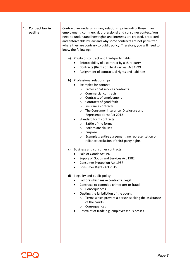| 1. Contract law in<br>outline | Contract law underpins many relationships including those in an<br>employment, commercial, professional and consumer context. You<br>need to understand how rights and interests are created, protected<br>and enforceable by law and why some contracts are not permitted<br>where they are contrary to public policy. Therefore, you will need to<br>know the following:                                                                                                                                                                                                    |
|-------------------------------|-------------------------------------------------------------------------------------------------------------------------------------------------------------------------------------------------------------------------------------------------------------------------------------------------------------------------------------------------------------------------------------------------------------------------------------------------------------------------------------------------------------------------------------------------------------------------------|
|                               | a) Privity of contract and third-party rights<br>Enforceability of a contract by a third party<br>٠<br>Contracts (Rights of Third Parties) Act 1999<br>$\bullet$<br>Assignment of contractual rights and liabilities<br>٠                                                                                                                                                                                                                                                                                                                                                     |
|                               | b) Professional relationships<br>Examples for context<br>Professional services contracts<br>$\circ$<br>Commercial contracts<br>$\circ$<br>Contracts of employment<br>$\circ$<br>Contracts of good faith<br>$\circ$<br>Insurance contracts<br>$\circ$<br>The Consumer Insurance (Disclosure and<br>$\circ$<br>Representations) Act 2012<br><b>Standard form contracts</b><br>٠<br>Battle of the forms<br>$\circ$<br>Boilerplate clauses<br>$\circ$<br>Purpose<br>$\circ$<br>Examples: entire agreement; no representation or<br>O<br>reliance; exclusion of third-party rights |
|                               | c) Business and consumer contracts<br>Sale of Goods Act 1979<br>$\bullet$<br>Supply of Goods and Services Act 1982<br><b>Consumer Protection Act 1987</b><br>٠<br>Consumer Rights Act 2015                                                                                                                                                                                                                                                                                                                                                                                    |
|                               | d) Illegality and public policy<br>Factors which make contracts illegal<br>Contracts to commit a crime; tort or fraud<br>Consequences<br>$\circ$<br>Ousting the jurisdiction of the courts<br>$\bullet$<br>Terms which prevent a person seeking the assistance<br>$\circ$<br>of the courts<br>Consequences<br>$\circ$<br>Restraint of trade e.g. employees; businesses                                                                                                                                                                                                        |

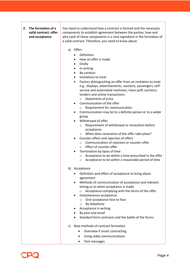#### **2. The formation of a valid contract: offer and acceptance**

You need to understand how a contract is formed and the necessary components to establish agreement between the parties; how and why each of these components is a vital ingredient in the formation of a valid contract. Therefore, you need to know about:

- a) Offer**:**
	- Definition
	- How an offer is made
	- Orally
	- In writing
	- By conduct
	- Invitations to treat
	- Factors distinguishing an offer from an invitation to treat e.g.: displays, advertisements, auctions, passengers, selfservice and automated machines; mere puff; auctions; tenders and online transactions
		- o Statements of price
	- Communication of the offer
		- o Requirement for communication
	- Communication may be to a definite person or to a wider group
	- Withdrawal of offer
		- o Requirement of withdrawal or revocation before acceptance
		- o When does revocation of the offer take place?
	- Counter-offers and rejection of offers
		- o Communication of rejection or counter-offer
		- o Effect of counter-offer
	- Termination by lapse of time
		- o Acceptance to be within a time prescribed in the offer
		- o Acceptance to be within a reasonable period of time
- b) Acceptance
	- Definition and effect of acceptance to bring about agreement
	- Methods of communication of acceptance and relevant timing as to when acceptance is made
		- o Acceptance complying with the terms of the offer
	- Instantaneous acceptance
		- o Oral acceptance face to face
		- o By telephone
	- Acceptance in writing
	- By post and email
	- Standard form contracts and the battle of the forms
- c) New methods of contract formation
	- Overview if smart contracting
	- Using video communications
	- Text messages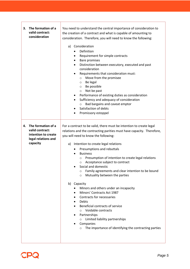| 3. | The formation of a<br>valid contract:<br>consideration                                          | You need to understand the central importance of consideration to<br>the creation of a contract and what is capable of amounting to<br>consideration. Therefore, you will need to know the following:<br>Consideration<br>a)<br>Definition<br>$\bullet$<br>Requirement for simple contracts<br>٠<br><b>Bare promises</b><br>٠<br>Distinction between executory, executed and past<br>$\bullet$<br>consideration<br>Requirements that consideration must:<br>$\bullet$<br>Move from the promisee<br>$\circ$<br>Be legal<br>O<br>Be possible<br>$\circ$<br>Not be past<br>$\circ$<br>Performance of existing duties as consideration<br>٠<br>Sufficiency and adequacy of consideration<br>$\bullet$<br>Bad bargains and caveat emptor<br>$\circ$<br>Satisfaction of debts<br>٠<br>Promissory estoppel                                                                                           |
|----|-------------------------------------------------------------------------------------------------|-----------------------------------------------------------------------------------------------------------------------------------------------------------------------------------------------------------------------------------------------------------------------------------------------------------------------------------------------------------------------------------------------------------------------------------------------------------------------------------------------------------------------------------------------------------------------------------------------------------------------------------------------------------------------------------------------------------------------------------------------------------------------------------------------------------------------------------------------------------------------------------------------|
| 4. | The formation of a<br>valid contract:<br>intention to create<br>legal relations and<br>capacity | For a contract to be valid, there must be intention to create legal<br>relations and the contracting parities must have capacity. Therefore,<br>you will need to know the following:<br>Intention to create legal relations<br>a)<br>Presumptions and rebuttals<br>٠<br><b>Business</b><br>Presumption of intention to create legal relations<br>$\circ$<br>Acceptance subject to contract<br>O<br>Social and domestic<br>Family agreements and clear intention to be bound<br>O<br>Mutuality between the parties<br>$\circ$<br>b) Capacity<br>Minors and others under an incapacity<br>Minors' Contracts Act 1987<br>$\bullet$<br>Contracts for necessaries<br>Debts<br>٠<br>Beneficial contracts of service<br>$\bullet$<br>Voidable contracts<br>$\circ$<br>Partnerships<br>Limited liability partnerships<br>O<br>Companies<br>The importance of identifying the contracting parties<br>O |

 $\mathsf{r}$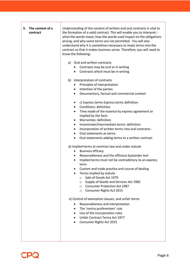| 5. The content of a<br>contract | Understanding of the content of written and oral contracts is vital to<br>the formation of a valid contract. This will enable you to interpret: -<br>what the words mean; how the words used impact on the obligations<br>arising; and why some terms are not permitted. You will also<br>understand why it is sometimes necessary to imply terms into the<br>contract so that it makes business sense. Therefore, you will need to<br>know the following:                               |
|---------------------------------|------------------------------------------------------------------------------------------------------------------------------------------------------------------------------------------------------------------------------------------------------------------------------------------------------------------------------------------------------------------------------------------------------------------------------------------------------------------------------------------|
|                                 | Oral and written contracts<br>a)<br>Contracts may be oral or in writing<br>Contracts which must be in writing                                                                                                                                                                                                                                                                                                                                                                            |
|                                 | b) Interpretation of contracts<br>Principles of interpretation<br>٠<br>Intention of the parties<br>٠<br>Documentary, factual and commercial context<br>$\bullet$                                                                                                                                                                                                                                                                                                                         |
|                                 | c) Express terms Express terms definition<br>٠<br>Conditions: definition<br>$\bullet$<br>Time made of the essence by express agreement or<br>$\bullet$<br>implied by the facts<br>Warranties: definition<br>$\bullet$<br>Innominate/intermediate terms: definition<br>$\bullet$<br>Incorporation of written terms into oral contracts -<br>$\bullet$<br>Oral statements as terms<br>$\bullet$<br>Oral statements adding terms to a written contract<br>٠                                 |
|                                 | d) Implied terms at common law and under statute<br><b>Business efficacy</b><br>٠<br>Reasonableness and the officious bystander test<br>$\bullet$<br>Implied terms must not be contradictory to an express<br>٠<br>term<br>Custom and trade practice and course of dealing<br>Terms implied by statute<br>Sale of Goods Act 1979<br>$\circ$<br>Supply of Goods and Services Act 1982<br>$\circ$<br><b>Consumer Protection Act 1987</b><br>$\circ$<br>Consumer Rights Act 2015<br>$\circ$ |
|                                 | e) Control of exemption clauses, and unfair terms<br>Reasonableness and interpretation<br>The 'contra proferentem' rule<br>٠<br>Use of the incorporation rules<br>$\bullet$<br>Unfair Contract Terms Act 1977<br>Consumer Rights Act 2015                                                                                                                                                                                                                                                |

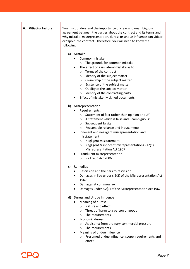| 6. Vitiating factors | You must understand the importance of clear and unambiguous<br>agreement between the parties about the contract and its terms and<br>why mistake, misrepresentation, duress or undue influence can vitiate<br>or "spoil" the contract. Therefore, you will need to know the<br>following:                                                                                                                                                                                                                         |
|----------------------|-------------------------------------------------------------------------------------------------------------------------------------------------------------------------------------------------------------------------------------------------------------------------------------------------------------------------------------------------------------------------------------------------------------------------------------------------------------------------------------------------------------------|
|                      | Mistake<br>a)<br>Common mistake<br>٠<br>The grounds for common mistake<br>$\circ$<br>The effect of a unilateral mistake as to:<br>$\bullet$<br>Terms of the contract<br>$\circ$<br>Identity of the subject matter<br>$\circ$<br>Ownership of the subject matter<br>$\circ$<br>Existence of the subject matter<br>$\circ$<br>Quality of the subject matter<br>$\circ$<br>Identity of the contracting party<br>$\circ$<br>Effect of mistakenly signed documents                                                     |
|                      | b)<br>Misrepresentation<br>Requirements:<br>٠<br>Statement of fact rather than opinion or puff<br>$\circ$<br>○ A statement which is false and unambiguous:<br>$\circ$ Subsequent falsity<br>Reasonable reliance and inducements<br>$\circ$<br>Innocent and negligent misrepresentation and<br>٠<br>misstatement<br>Negligent misstatement<br>$\circ$<br>Negligent & innocent misrepresentations - s2(1)<br>$\circ$<br>Misrepresentation Act 1967<br>Fraudulent misrepresentation<br>s.2 Fraud Act 2006<br>$\circ$ |
|                      | c) Remedies<br>Rescission and the bars to rescission<br>Damages in lieu under s.2(2) of the Misrepresentation Act<br>٠<br>1967<br>Damages at common law<br>Damages under s.2(1) of the Misrepresentation Act 1967.                                                                                                                                                                                                                                                                                                |
|                      | Duress and Undue Influence<br>d)<br>Meaning of duress<br>Nature and effect<br>$\circ$<br>Threat of harm to a person or goods<br>$\circ$<br>The requirements<br>$\circ$<br>Economic duress<br>As distinct from ordinary commercial pressure<br>$\circ$<br>The requirements<br>$\circ$<br>Meaning of undue influence<br>Presumed undue influence: scope, requirements and<br>$\circ$<br>effect                                                                                                                      |

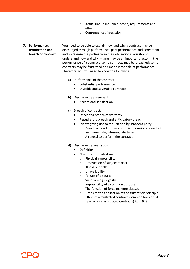|                                                          | Actual undue influence: scope, requirements and<br>$\circ$<br>effect<br>Consequences (rescission)<br>$\circ$                                                                                                                                                                                                                                                                                                                                                                                                                                                                                                                                                                                                                                                                                                                                                                                                                                                                                                                                                                                                                                                                                                                                                                                                                                                                                                                                                                                                                       |
|----------------------------------------------------------|------------------------------------------------------------------------------------------------------------------------------------------------------------------------------------------------------------------------------------------------------------------------------------------------------------------------------------------------------------------------------------------------------------------------------------------------------------------------------------------------------------------------------------------------------------------------------------------------------------------------------------------------------------------------------------------------------------------------------------------------------------------------------------------------------------------------------------------------------------------------------------------------------------------------------------------------------------------------------------------------------------------------------------------------------------------------------------------------------------------------------------------------------------------------------------------------------------------------------------------------------------------------------------------------------------------------------------------------------------------------------------------------------------------------------------------------------------------------------------------------------------------------------------|
| 7. Performance,<br>termination and<br>breach of contract | You need to be able to explain how and why a contract may be<br>discharged through performance, part-performance and agreement<br>and so release the parties from their obligations. You should<br>understand how and why: - time may be an important factor in the<br>performance of a contract; some contracts may be breached; some<br>contracts may be frustrated and made incapable of performance.<br>Therefore, you will need to know the following:<br>a) Performance of the contract<br>Substantial performance<br>Divisible and severable contracts<br>b) Discharge by agreement<br>Accord and satisfaction<br>Breach of contract:<br>c)<br>Effect of a breach of warranty<br>Repudiatory breach and anticipatory breach<br>$\bullet$<br>Events giving rise to repudiation by innocent party:<br>Breach of condition or a sufficiently serious breach of<br>$\circ$<br>an innominate/intermediate term<br>A refusal to perform the contract<br>$\circ$<br>d) Discharge by frustration<br>Definition<br>Grounds for frustration:<br>Physical impossibility<br>$\circ$<br>O Destruction of subject matter<br>Illness or death<br>$\circ$<br>Unavailability<br>$\circ$<br>Failure of a source<br>$\circ$<br>Supervening illegality:<br>$\circ$<br>Impossibility of a common purpose<br>The function of force majeure clauses<br>$\circ$<br>Limits to the application of the frustration principle<br>$\circ$<br>Effect of a frustrated contract: Common law and s1<br>$\circ$<br>Law reform (Frustrated Contracts) Act 1943 |